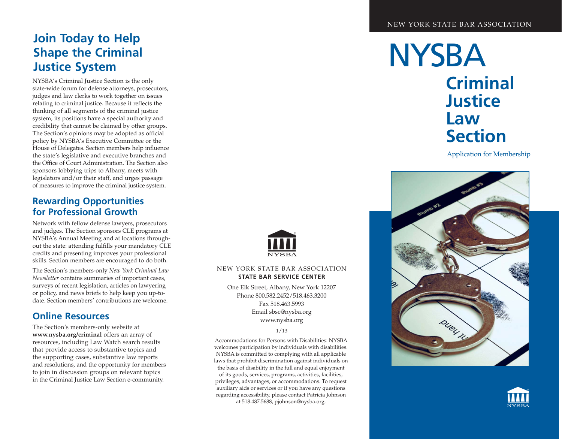# **Join Today to Help Shape the Criminal Justice System**

NYSBA's Criminal Justice Section is the only state-wide forum for defense attorneys, prosecutors, judges and law clerks to work together on issues relating to criminal justice. Because it reflects the thinking of all segments of the criminal justice system, its positions have a special authority and credibility that cannot be claimed by other groups. The Section's opinions may be adopted as official policy by NYSBA's Executive Committee or the House of Delegates. Section members help influence the state's legislative and executive branches and the Office of Court Administration. The Section also sponsors lobbying trips to Albany, meets with legislators and/or their staff, and urges passage of measures to improve the criminal justice system.

## **Rewarding Opportunities for Professional Growth**

Network with fellow defense lawyers, prosecutors and judges. The Section sponsors CLE programs at NYSBA's Annual Meeting and at locations throughout the state: attending fulfills your mandatory CLE credits and presenting improves your professional skills. Section members are encouraged to do both.

The Section's members-only *New York Criminal Law Newsletter* contains summaries of important cases, surveys of recent legislation, articles on lawyering or policy, and news briefs to help keep you up-todate. Section members' contributions are welcome.

### **Online Resources**

The Section's members-only website at **www.nysba.org/criminal** offers an array of resources, including Law Watch search results that provide access to substantive topics and the supporting cases, substantive law reports and resolutions, and the opportunity for members to join in discussion groups on relevant topics in the Criminal Justice Law Section e-community.



#### NEW YORK STATE BAR ASSOCIATION **STATE BAR SERVICE CENTER**

One Elk Street, Albany, New York 12207 Phone 800.582.2452/518.463.3200 Fax 518.463.5993 Email sbsc@nysba.org www.nysba.org

1/13

Accommodations for Persons with Disabilities: NYSBA welcomes participation by individuals with disabilities. NYSBA is committed to complying with all applicable laws that prohibit discrimination against individuals on the basis of disability in the full and equal enjoyment of its goods, services, programs, activities, facilities, privileges, advantages, or accommodations. To request auxiliary aids or services or if you have any questions regarding accessibility, please contact Patricia Johnson at 518.487.5688, pjohnson@nysba.org.

### NEW YORK STATE BAR ASSOCIATION

**NYSBA Criminal Justice Law Section** 

Application for Membership